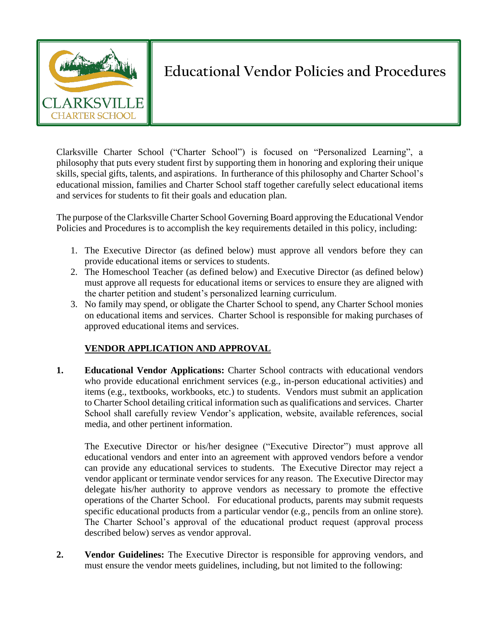

## **Educational Vendor Policies and Procedures**

Clarksville Charter School ("Charter School") is focused on "Personalized Learning", a philosophy that puts every student first by supporting them in honoring and exploring their unique skills, special gifts, talents, and aspirations. In furtherance of this philosophy and Charter School's educational mission, families and Charter School staff together carefully select educational items and services for students to fit their goals and education plan.

The purpose of the Clarksville Charter School Governing Board approving the Educational Vendor Policies and Procedures is to accomplish the key requirements detailed in this policy, including:

- 1. The Executive Director (as defined below) must approve all vendors before they can provide educational items or services to students.
- 2. The Homeschool Teacher (as defined below) and Executive Director (as defined below) must approve all requests for educational items or services to ensure they are aligned with the charter petition and student's personalized learning curriculum.
- 3. No family may spend, or obligate the Charter School to spend, any Charter School monies on educational items and services. Charter School is responsible for making purchases of approved educational items and services.

## **VENDOR APPLICATION AND APPROVAL**

**1. Educational Vendor Applications:** Charter School contracts with educational vendors who provide educational enrichment services (e.g., in-person educational activities) and items (e.g., textbooks, workbooks, etc.) to students. Vendors must submit an application to Charter School detailing critical information such as qualifications and services. Charter School shall carefully review Vendor's application, website, available references, social media, and other pertinent information.

The Executive Director or his/her designee ("Executive Director") must approve all educational vendors and enter into an agreement with approved vendors before a vendor can provide any educational services to students. The Executive Director may reject a vendor applicant or terminate vendor services for any reason. The Executive Director may delegate his/her authority to approve vendors as necessary to promote the effective operations of the Charter School. For educational products, parents may submit requests specific educational products from a particular vendor (e.g., pencils from an online store). The Charter School's approval of the educational product request (approval process described below) serves as vendor approval.

**2. Vendor Guidelines:** The Executive Director is responsible for approving vendors, and must ensure the vendor meets guidelines, including, but not limited to the following: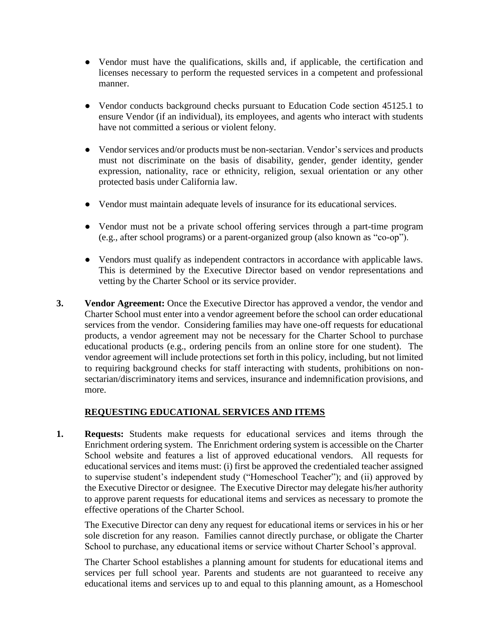- Vendor must have the qualifications, skills and, if applicable, the certification and licenses necessary to perform the requested services in a competent and professional manner.
- Vendor conducts background checks pursuant to Education Code section 45125.1 to ensure Vendor (if an individual), its employees, and agents who interact with students have not committed a serious or violent felony.
- Vendor services and/or products must be non-sectarian. Vendor's services and products must not discriminate on the basis of disability, gender, gender identity, gender expression, nationality, race or ethnicity, religion, sexual orientation or any other protected basis under California law.
- Vendor must maintain adequate levels of insurance for its educational services.
- Vendor must not be a private school offering services through a part-time program (e.g., after school programs) or a parent-organized group (also known as "co-op").
- Vendors must qualify as independent contractors in accordance with applicable laws. This is determined by the Executive Director based on vendor representations and vetting by the Charter School or its service provider.
- **3. Vendor Agreement:** Once the Executive Director has approved a vendor, the vendor and Charter School must enter into a vendor agreement before the school can order educational services from the vendor. Considering families may have one-off requests for educational products, a vendor agreement may not be necessary for the Charter School to purchase educational products (e.g., ordering pencils from an online store for one student). The vendor agreement will include protections set forth in this policy, including, but not limited to requiring background checks for staff interacting with students, prohibitions on nonsectarian/discriminatory items and services, insurance and indemnification provisions, and more.

## **REQUESTING EDUCATIONAL SERVICES AND ITEMS**

**1. Requests:** Students make requests for educational services and items through the Enrichment ordering system. The Enrichment ordering system is accessible on the Charter School website and features a list of approved educational vendors. All requests for educational services and items must: (i) first be approved the credentialed teacher assigned to supervise student's independent study ("Homeschool Teacher"); and (ii) approved by the Executive Director or designee. The Executive Director may delegate his/her authority to approve parent requests for educational items and services as necessary to promote the effective operations of the Charter School.

The Executive Director can deny any request for educational items or services in his or her sole discretion for any reason. Families cannot directly purchase, or obligate the Charter School to purchase, any educational items or service without Charter School's approval.

The Charter School establishes a planning amount for students for educational items and services per full school year. Parents and students are not guaranteed to receive any educational items and services up to and equal to this planning amount, as a Homeschool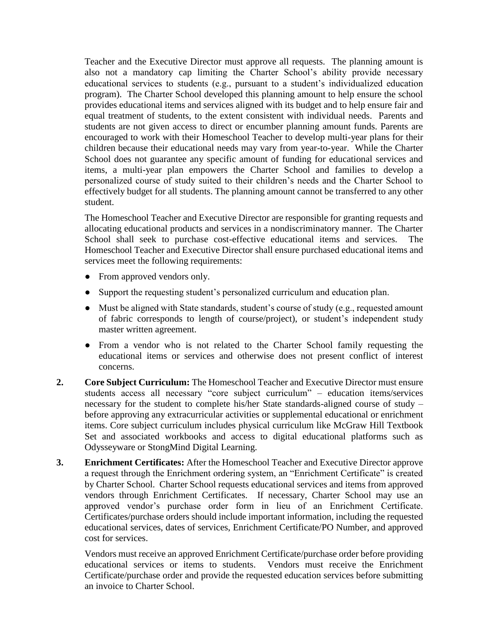Teacher and the Executive Director must approve all requests. The planning amount is also not a mandatory cap limiting the Charter School's ability provide necessary educational services to students (e.g., pursuant to a student's individualized education program). The Charter School developed this planning amount to help ensure the school provides educational items and services aligned with its budget and to help ensure fair and equal treatment of students, to the extent consistent with individual needs. Parents and students are not given access to direct or encumber planning amount funds. Parents are encouraged to work with their Homeschool Teacher to develop multi-year plans for their children because their educational needs may vary from year-to-year. While the Charter School does not guarantee any specific amount of funding for educational services and items, a multi-year plan empowers the Charter School and families to develop a personalized course of study suited to their children's needs and the Charter School to effectively budget for all students. The planning amount cannot be transferred to any other student.

The Homeschool Teacher and Executive Director are responsible for granting requests and allocating educational products and services in a nondiscriminatory manner. The Charter School shall seek to purchase cost-effective educational items and services. The Homeschool Teacher and Executive Director shall ensure purchased educational items and services meet the following requirements:

- From approved vendors only.
- Support the requesting student's personalized curriculum and education plan.
- Must be aligned with State standards, student's course of study (e.g., requested amount of fabric corresponds to length of course/project), or student's independent study master written agreement.
- From a vendor who is not related to the Charter School family requesting the educational items or services and otherwise does not present conflict of interest concerns.
- **2. Core Subject Curriculum:** The Homeschool Teacher and Executive Director must ensure students access all necessary "core subject curriculum" – education items/services necessary for the student to complete his/her State standards-aligned course of study – before approving any extracurricular activities or supplemental educational or enrichment items. Core subject curriculum includes physical curriculum like McGraw Hill Textbook Set and associated workbooks and access to digital educational platforms such as Odysseyware or StongMind Digital Learning.
- **3. Enrichment Certificates:** After the Homeschool Teacher and Executive Director approve a request through the Enrichment ordering system, an "Enrichment Certificate" is created by Charter School. Charter School requests educational services and items from approved vendors through Enrichment Certificates. If necessary, Charter School may use an approved vendor's purchase order form in lieu of an Enrichment Certificate. Certificates/purchase orders should include important information, including the requested educational services, dates of services, Enrichment Certificate/PO Number, and approved cost for services.

Vendors must receive an approved Enrichment Certificate/purchase order before providing educational services or items to students. Vendors must receive the Enrichment Certificate/purchase order and provide the requested education services before submitting an invoice to Charter School.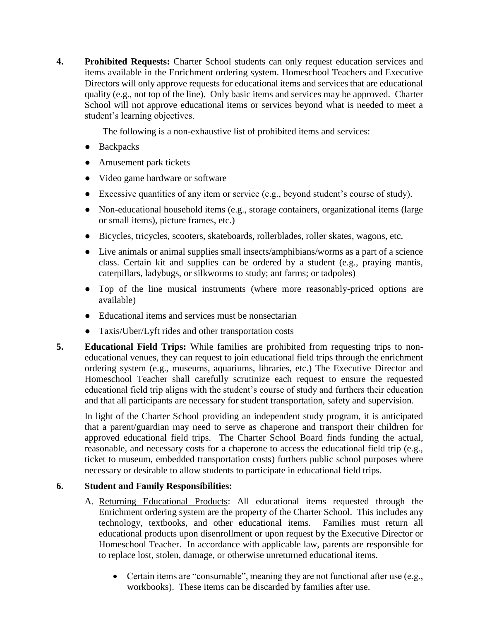**4. Prohibited Requests:** Charter School students can only request education services and items available in the Enrichment ordering system. Homeschool Teachers and Executive Directors will only approve requests for educational items and services that are educational quality (e.g., not top of the line). Only basic items and services may be approved. Charter School will not approve educational items or services beyond what is needed to meet a student's learning objectives.

The following is a non-exhaustive list of prohibited items and services:

- Backpacks
- Amusement park tickets
- Video game hardware or software
- Excessive quantities of any item or service (e.g., beyond student's course of study).
- Non-educational household items (e.g., storage containers, organizational items (large or small items), picture frames, etc.)
- Bicycles, tricycles, scooters, skateboards, rollerblades, roller skates, wagons, etc.
- Live animals or animal supplies small insects/amphibians/worms as a part of a science class. Certain kit and supplies can be ordered by a student (e.g., praying mantis, caterpillars, ladybugs, or silkworms to study; ant farms; or tadpoles)
- Top of the line musical instruments (where more reasonably-priced options are available)
- Educational items and services must be nonsectarian
- Taxis/Uber/Lyft rides and other transportation costs
- **5. Educational Field Trips:** While families are prohibited from requesting trips to noneducational venues, they can request to join educational field trips through the enrichment ordering system (e.g., museums, aquariums, libraries, etc.) The Executive Director and Homeschool Teacher shall carefully scrutinize each request to ensure the requested educational field trip aligns with the student's course of study and furthers their education and that all participants are necessary for student transportation, safety and supervision.

In light of the Charter School providing an independent study program, it is anticipated that a parent/guardian may need to serve as chaperone and transport their children for approved educational field trips. The Charter School Board finds funding the actual, reasonable, and necessary costs for a chaperone to access the educational field trip (e.g., ticket to museum, embedded transportation costs) furthers public school purposes where necessary or desirable to allow students to participate in educational field trips.

## **6. Student and Family Responsibilities:**

- A. Returning Educational Products: All educational items requested through the Enrichment ordering system are the property of the Charter School. This includes any technology, textbooks, and other educational items. Families must return all educational products upon disenrollment or upon request by the Executive Director or Homeschool Teacher. In accordance with applicable law, parents are responsible for to replace lost, stolen, damage, or otherwise unreturned educational items.
	- Certain items are "consumable", meaning they are not functional after use (e.g., workbooks). These items can be discarded by families after use.